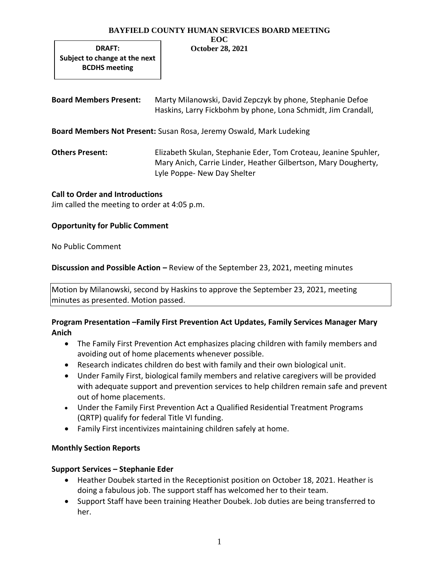#### **BAYFIELD COUNTY HUMAN SERVICES BOARD MEETING EOC**

**October 28, 2021**

**DRAFT: Subject to change at the next BCDHS meeting**

**Board Members Present:** Marty Milanowski, David Zepczyk by phone, Stephanie Defoe Haskins, Larry Fickbohm by phone, Lona Schmidt, Jim Crandall,

**Board Members Not Present:** Susan Rosa, Jeremy Oswald, Mark Ludeking

**Others Present:** Elizabeth Skulan, Stephanie Eder, Tom Croteau, Jeanine Spuhler, Mary Anich, Carrie Linder, Heather Gilbertson, Mary Dougherty, Lyle Poppe- New Day Shelter

## **Call to Order and Introductions**

Jim called the meeting to order at 4:05 p.m.

## **Opportunity for Public Comment**

No Public Comment

**Discussion and Possible Action –** Review of the September 23, 2021, meeting minutes

Motion by Milanowski, second by Haskins to approve the September 23, 2021, meeting minutes as presented. Motion passed.

# **Program Presentation –Family First Prevention Act Updates, Family Services Manager Mary Anich**

- The Family First Prevention Act emphasizes placing children with family members and avoiding out of home placements whenever possible.
- Research indicates children do best with family and their own biological unit.
- Under Family First, biological family members and relative caregivers will be provided with adequate support and prevention services to help children remain safe and prevent out of home placements.
- Under the Family First Prevention Act a Qualified Residential Treatment Programs (QRTP) qualify for federal Title VI funding.
- Family First incentivizes maintaining children safely at home.

# **Monthly Section Reports**

# **Support Services – Stephanie Eder**

- Heather Doubek started in the Receptionist position on October 18, 2021. Heather is doing a fabulous job. The support staff has welcomed her to their team.
- Support Staff have been training Heather Doubek. Job duties are being transferred to her.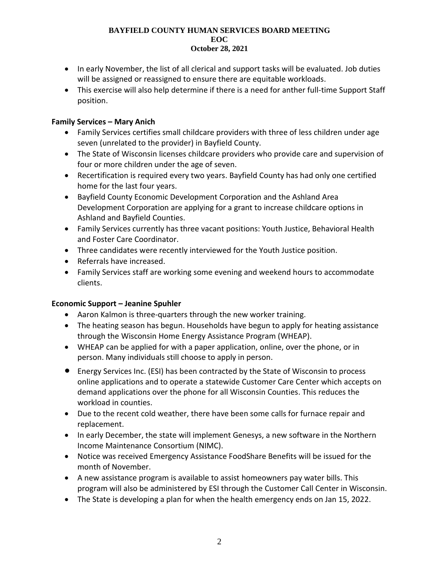### **BAYFIELD COUNTY HUMAN SERVICES BOARD MEETING EOC October 28, 2021**

- In early November, the list of all clerical and support tasks will be evaluated. Job duties will be assigned or reassigned to ensure there are equitable workloads.
- This exercise will also help determine if there is a need for anther full-time Support Staff position.

# **Family Services – Mary Anich**

- Family Services certifies small childcare providers with three of less children under age seven (unrelated to the provider) in Bayfield County.
- The State of Wisconsin licenses childcare providers who provide care and supervision of four or more children under the age of seven.
- Recertification is required every two years. Bayfield County has had only one certified home for the last four years.
- Bayfield County Economic Development Corporation and the Ashland Area Development Corporation are applying for a grant to increase childcare options in Ashland and Bayfield Counties.
- Family Services currently has three vacant positions: Youth Justice, Behavioral Health and Foster Care Coordinator.
- Three candidates were recently interviewed for the Youth Justice position.
- Referrals have increased.
- Family Services staff are working some evening and weekend hours to accommodate clients.

# **Economic Support – Jeanine Spuhler**

- Aaron Kalmon is three-quarters through the new worker training.
- The heating season has begun. Households have begun to apply for heating assistance through the Wisconsin Home Energy Assistance Program (WHEAP).
- WHEAP can be applied for with a paper application, online, over the phone, or in person. Many individuals still choose to apply in person.
- Energy Services Inc. (ESI) has been contracted by the State of Wisconsin to process online applications and to operate a statewide Customer Care Center which accepts on demand applications over the phone for all Wisconsin Counties. This reduces the workload in counties.
- Due to the recent cold weather, there have been some calls for furnace repair and replacement.
- In early December, the state will implement Genesys, a new software in the Northern Income Maintenance Consortium (NIMC).
- Notice was received Emergency Assistance FoodShare Benefits will be issued for the month of November.
- A new assistance program is available to assist homeowners pay water bills. This program will also be administered by ESI through the Customer Call Center in Wisconsin.
- The State is developing a plan for when the health emergency ends on Jan 15, 2022.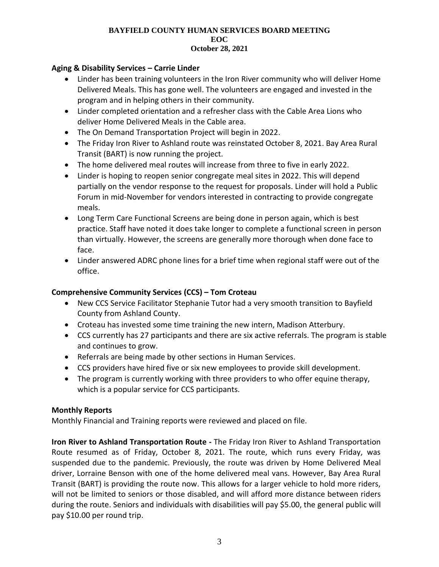### **BAYFIELD COUNTY HUMAN SERVICES BOARD MEETING EOC October 28, 2021**

## **Aging & Disability Services – Carrie Linder**

- Linder has been training volunteers in the Iron River community who will deliver Home Delivered Meals. This has gone well. The volunteers are engaged and invested in the program and in helping others in their community.
- Linder completed orientation and a refresher class with the Cable Area Lions who deliver Home Delivered Meals in the Cable area.
- The On Demand Transportation Project will begin in 2022.
- The Friday Iron River to Ashland route was reinstated October 8, 2021. Bay Area Rural Transit (BART) is now running the project.
- The home delivered meal routes will increase from three to five in early 2022.
- Linder is hoping to reopen senior congregate meal sites in 2022. This will depend partially on the vendor response to the request for proposals. Linder will hold a Public Forum in mid-November for vendors interested in contracting to provide congregate meals.
- Long Term Care Functional Screens are being done in person again, which is best practice. Staff have noted it does take longer to complete a functional screen in person than virtually. However, the screens are generally more thorough when done face to face.
- Linder answered ADRC phone lines for a brief time when regional staff were out of the office.

## **Comprehensive Community Services (CCS) – Tom Croteau**

- New CCS Service Facilitator Stephanie Tutor had a very smooth transition to Bayfield County from Ashland County.
- Croteau has invested some time training the new intern, Madison Atterbury.
- CCS currently has 27 participants and there are six active referrals. The program is stable and continues to grow.
- Referrals are being made by other sections in Human Services.
- CCS providers have hired five or six new employees to provide skill development.
- The program is currently working with three providers to who offer equine therapy, which is a popular service for CCS participants.

## **Monthly Reports**

Monthly Financial and Training reports were reviewed and placed on file.

**Iron River to Ashland Transportation Route -** The Friday Iron River to Ashland Transportation Route resumed as of Friday, October 8, 2021. The route, which runs every Friday, was suspended due to the pandemic. Previously, the route was driven by Home Delivered Meal driver, Lorraine Benson with one of the home delivered meal vans. However, Bay Area Rural Transit (BART) is providing the route now. This allows for a larger vehicle to hold more riders, will not be limited to seniors or those disabled, and will afford more distance between riders during the route. Seniors and individuals with disabilities will pay \$5.00, the general public will pay \$10.00 per round trip.